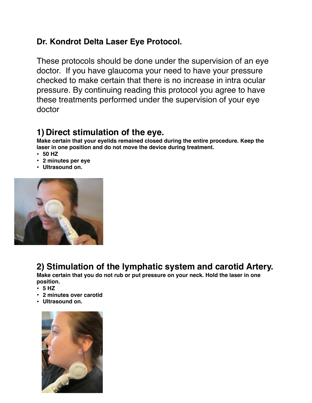## **Dr. Kondrot Delta Laser Eye Protocol.**

These protocols should be done under the supervision of an eye doctor. If you have glaucoma your need to have your pressure checked to make certain that there is no increase in intra ocular pressure. By continuing reading this protocol you agree to have these treatments performed under the supervision of your eye doctor

## **1) Direct stimulation of the eye.**

**Make certain that your eyelids remained closed during the entire procedure. Keep the laser in one position and do not move the device during treatment.**

- **50 HZ**
- **2 minutes per eye**
- **Ultrasound on.**



## **2) Stimulation of the lymphatic system and carotid Artery.**

**Make certain that you do not rub or put pressure on your neck. Hold the laser in one position.**

- **5 HZ**
- **2 minutes over carotid**
- **Ultrasound on.**